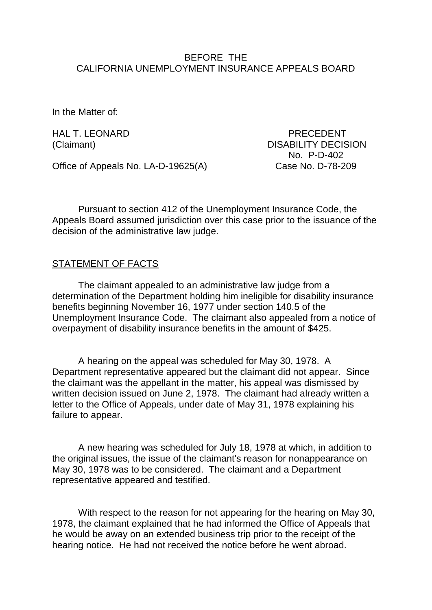### BEFORE THE CALIFORNIA UNEMPLOYMENT INSURANCE APPEALS BOARD

In the Matter of:

Office of Appeals No. LA-D-19625(A) Case No. D-78-209

HAL T. LEONARD PRECEDENT (Claimant) DISABILITY DECISION No. P-D-402

Pursuant to section 412 of the Unemployment Insurance Code, the Appeals Board assumed jurisdiction over this case prior to the issuance of the decision of the administrative law judge.

## STATEMENT OF FACTS

The claimant appealed to an administrative law judge from a determination of the Department holding him ineligible for disability insurance benefits beginning November 16, 1977 under section 140.5 of the Unemployment Insurance Code. The claimant also appealed from a notice of overpayment of disability insurance benefits in the amount of \$425.

A hearing on the appeal was scheduled for May 30, 1978. A Department representative appeared but the claimant did not appear. Since the claimant was the appellant in the matter, his appeal was dismissed by written decision issued on June 2, 1978. The claimant had already written a letter to the Office of Appeals, under date of May 31, 1978 explaining his failure to appear.

A new hearing was scheduled for July 18, 1978 at which, in addition to the original issues, the issue of the claimant's reason for nonappearance on May 30, 1978 was to be considered. The claimant and a Department representative appeared and testified.

With respect to the reason for not appearing for the hearing on May 30, 1978, the claimant explained that he had informed the Office of Appeals that he would be away on an extended business trip prior to the receipt of the hearing notice. He had not received the notice before he went abroad.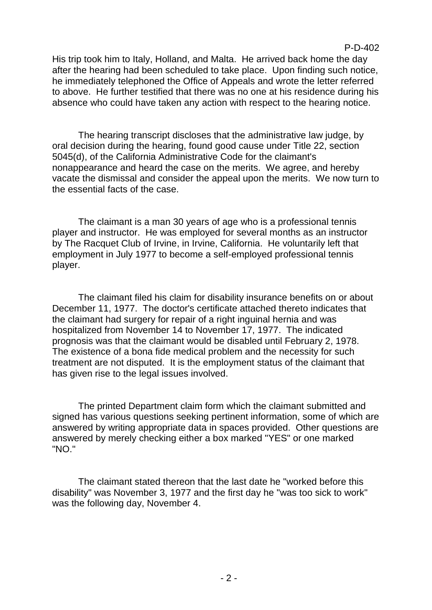His trip took him to Italy, Holland, and Malta. He arrived back home the day after the hearing had been scheduled to take place. Upon finding such notice, he immediately telephoned the Office of Appeals and wrote the letter referred to above. He further testified that there was no one at his residence during his absence who could have taken any action with respect to the hearing notice.

The hearing transcript discloses that the administrative law judge, by oral decision during the hearing, found good cause under Title 22, section 5045(d), of the California Administrative Code for the claimant's nonappearance and heard the case on the merits. We agree, and hereby vacate the dismissal and consider the appeal upon the merits. We now turn to the essential facts of the case.

The claimant is a man 30 years of age who is a professional tennis player and instructor. He was employed for several months as an instructor by The Racquet Club of Irvine, in Irvine, California. He voluntarily left that employment in July 1977 to become a self-employed professional tennis player.

The claimant filed his claim for disability insurance benefits on or about December 11, 1977. The doctor's certificate attached thereto indicates that the claimant had surgery for repair of a right inguinal hernia and was hospitalized from November 14 to November 17, 1977. The indicated prognosis was that the claimant would be disabled until February 2, 1978. The existence of a bona fide medical problem and the necessity for such treatment are not disputed. It is the employment status of the claimant that has given rise to the legal issues involved.

The printed Department claim form which the claimant submitted and signed has various questions seeking pertinent information, some of which are answered by writing appropriate data in spaces provided. Other questions are answered by merely checking either a box marked "YES" or one marked "NO."

The claimant stated thereon that the last date he "worked before this disability" was November 3, 1977 and the first day he "was too sick to work" was the following day, November 4.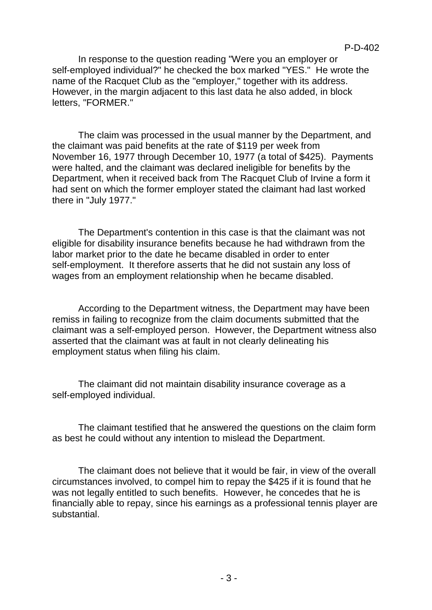In response to the question reading "Were you an employer or self-employed individual?" he checked the box marked "YES." He wrote the name of the Racquet Club as the "employer," together with its address. However, in the margin adjacent to this last data he also added, in block letters, "FORMER."

The claim was processed in the usual manner by the Department, and the claimant was paid benefits at the rate of \$119 per week from November 16, 1977 through December 10, 1977 (a total of \$425). Payments were halted, and the claimant was declared ineligible for benefits by the Department, when it received back from The Racquet Club of Irvine a form it had sent on which the former employer stated the claimant had last worked there in "July 1977."

The Department's contention in this case is that the claimant was not eligible for disability insurance benefits because he had withdrawn from the labor market prior to the date he became disabled in order to enter self-employment. It therefore asserts that he did not sustain any loss of wages from an employment relationship when he became disabled.

According to the Department witness, the Department may have been remiss in failing to recognize from the claim documents submitted that the claimant was a self-employed person. However, the Department witness also asserted that the claimant was at fault in not clearly delineating his employment status when filing his claim.

The claimant did not maintain disability insurance coverage as a self-employed individual.

The claimant testified that he answered the questions on the claim form as best he could without any intention to mislead the Department.

The claimant does not believe that it would be fair, in view of the overall circumstances involved, to compel him to repay the \$425 if it is found that he was not legally entitled to such benefits. However, he concedes that he is financially able to repay, since his earnings as a professional tennis player are substantial.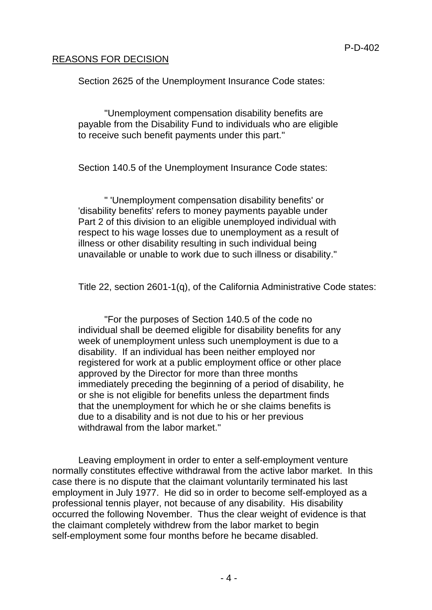# REASONS FOR DECISION

Section 2625 of the Unemployment Insurance Code states:

"Unemployment compensation disability benefits are payable from the Disability Fund to individuals who are eligible to receive such benefit payments under this part."

Section 140.5 of the Unemployment Insurance Code states:

" 'Unemployment compensation disability benefits' or 'disability benefits' refers to money payments payable under Part 2 of this division to an eligible unemployed individual with respect to his wage losses due to unemployment as a result of illness or other disability resulting in such individual being unavailable or unable to work due to such illness or disability."

Title 22, section 2601-1(q), of the California Administrative Code states:

"For the purposes of Section 140.5 of the code no individual shall be deemed eligible for disability benefits for any week of unemployment unless such unemployment is due to a disability. If an individual has been neither employed nor registered for work at a public employment office or other place approved by the Director for more than three months immediately preceding the beginning of a period of disability, he or she is not eligible for benefits unless the department finds that the unemployment for which he or she claims benefits is due to a disability and is not due to his or her previous withdrawal from the labor market."

Leaving employment in order to enter a self-employment venture normally constitutes effective withdrawal from the active labor market. In this case there is no dispute that the claimant voluntarily terminated his last employment in July 1977. He did so in order to become self-employed as a professional tennis player, not because of any disability. His disability occurred the following November. Thus the clear weight of evidence is that the claimant completely withdrew from the labor market to begin self-employment some four months before he became disabled.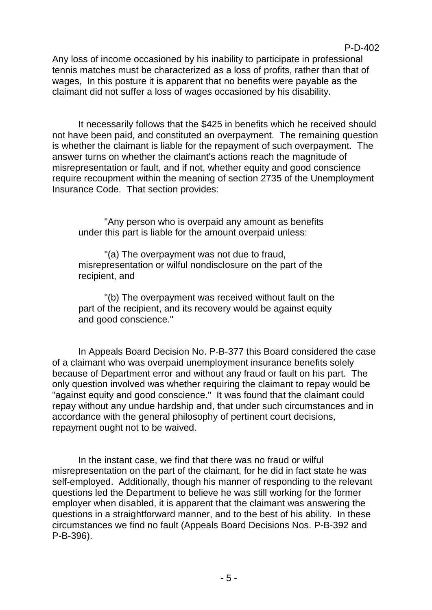Any loss of income occasioned by his inability to participate in professional tennis matches must be characterized as a loss of profits, rather than that of wages, In this posture it is apparent that no benefits were payable as the claimant did not suffer a loss of wages occasioned by his disability.

It necessarily follows that the \$425 in benefits which he received should not have been paid, and constituted an overpayment. The remaining question is whether the claimant is liable for the repayment of such overpayment. The answer turns on whether the claimant's actions reach the magnitude of misrepresentation or fault, and if not, whether equity and good conscience require recoupment within the meaning of section 2735 of the Unemployment Insurance Code. That section provides:

"Any person who is overpaid any amount as benefits under this part is liable for the amount overpaid unless:

"(a) The overpayment was not due to fraud, misrepresentation or wilful nondisclosure on the part of the recipient, and

"(b) The overpayment was received without fault on the part of the recipient, and its recovery would be against equity and good conscience."

In Appeals Board Decision No. P-B-377 this Board considered the case of a claimant who was overpaid unemployment insurance benefits solely because of Department error and without any fraud or fault on his part. The only question involved was whether requiring the claimant to repay would be "against equity and good conscience." It was found that the claimant could repay without any undue hardship and, that under such circumstances and in accordance with the general philosophy of pertinent court decisions, repayment ought not to be waived.

In the instant case, we find that there was no fraud or wilful misrepresentation on the part of the claimant, for he did in fact state he was self-employed. Additionally, though his manner of responding to the relevant questions led the Department to believe he was still working for the former employer when disabled, it is apparent that the claimant was answering the questions in a straightforward manner, and to the best of his ability. In these circumstances we find no fault (Appeals Board Decisions Nos. P-B-392 and P-B-396).